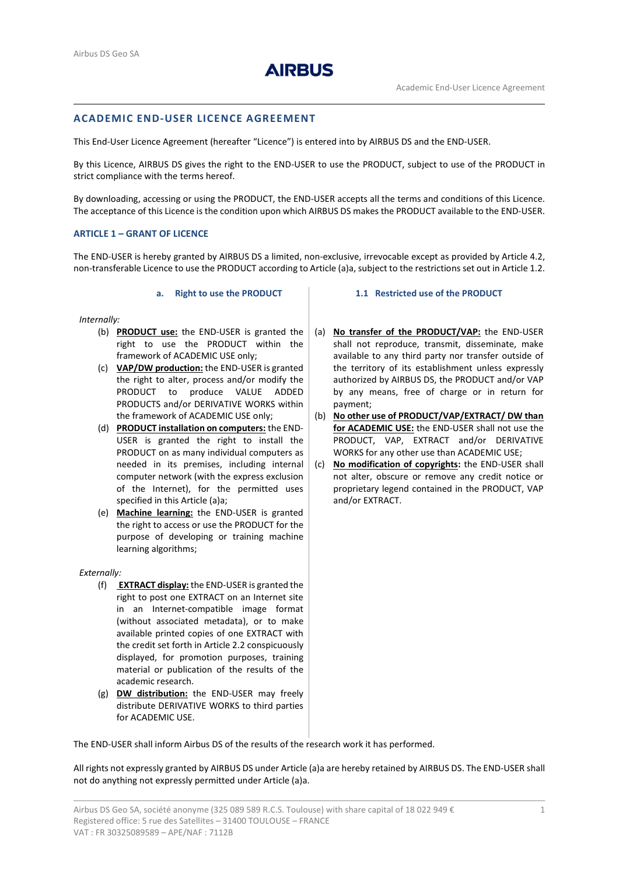

# ACADEMIC END-USER LICENCE AGREEMENT

This End-User Licence Agreement (hereafter "Licence") is entered into by AIRBUS DS and the END-USER.

By this Licence, AIRBUS DS gives the right to the END-USER to use the PRODUCT, subject to use of the PRODUCT in strict compliance with the terms hereof.

By downloading, accessing or using the PRODUCT, the END-USER accepts all the terms and conditions of this Licence. The acceptance of this Licence is the condition upon which AIRBUS DS makes the PRODUCT available to the END-USER.

## ARTICLE 1 – GRANT OF LICENCE

The END-USER is hereby granted by AIRBUS DS a limited, non-exclusive, irrevocable except as provided by Article 4.2, non-transferable Licence to use the PRODUCT according to Article (a)a, subject to the restrictions set out in Article 1.2.

### a. Right to use the PRODUCT

Internally:

- (b) PRODUCT use: the END-USER is granted the right to use the PRODUCT within the framework of ACADEMIC USE only;
- (c) VAP/DW production: the END-USER is granted the right to alter, process and/or modify the PRODUCT to produce VALUE ADDED PRODUCTS and/or DERIVATIVE WORKS within the framework of ACADEMIC USE only;
- (d) PRODUCT installation on computers: the END-USER is granted the right to install the PRODUCT on as many individual computers as needed in its premises, including internal computer network (with the express exclusion of the Internet), for the permitted uses specified in this Article (a)a;
- (e) Machine learning: the END-USER is granted the right to access or use the PRODUCT for the purpose of developing or training machine learning algorithms;

Externally:

- (f) EXTRACT display: the END-USER is granted the right to post one EXTRACT on an Internet site in an Internet-compatible image format (without associated metadata), or to make available printed copies of one EXTRACT with the credit set forth in Article 2.2 conspicuously displayed, for promotion purposes, training material or publication of the results of the academic research.
- (g) DW distribution: the END-USER may freely distribute DERIVATIVE WORKS to third parties for ACADEMIC USE.

#### 1.1 Restricted use of the PRODUCT

- (a) No transfer of the PRODUCT/VAP: the END-USER shall not reproduce, transmit, disseminate, make available to any third party nor transfer outside of the territory of its establishment unless expressly authorized by AIRBUS DS, the PRODUCT and/or VAP by any means, free of charge or in return for payment;
- (b) No other use of PRODUCT/VAP/EXTRACT/ DW than for ACADEMIC USE: the END-USER shall not use the PRODUCT, VAP, EXTRACT and/or DERIVATIVE WORKS for any other use than ACADEMIC USE;
- (c) No modification of copyrights: the END-USER shall not alter, obscure or remove any credit notice or proprietary legend contained in the PRODUCT, VAP and/or EXTRACT.

The END-USER shall inform Airbus DS of the results of the research work it has performed.

All rights not expressly granted by AIRBUS DS under Article (a)a are hereby retained by AIRBUS DS. The END-USER shall not do anything not expressly permitted under Article (a)a.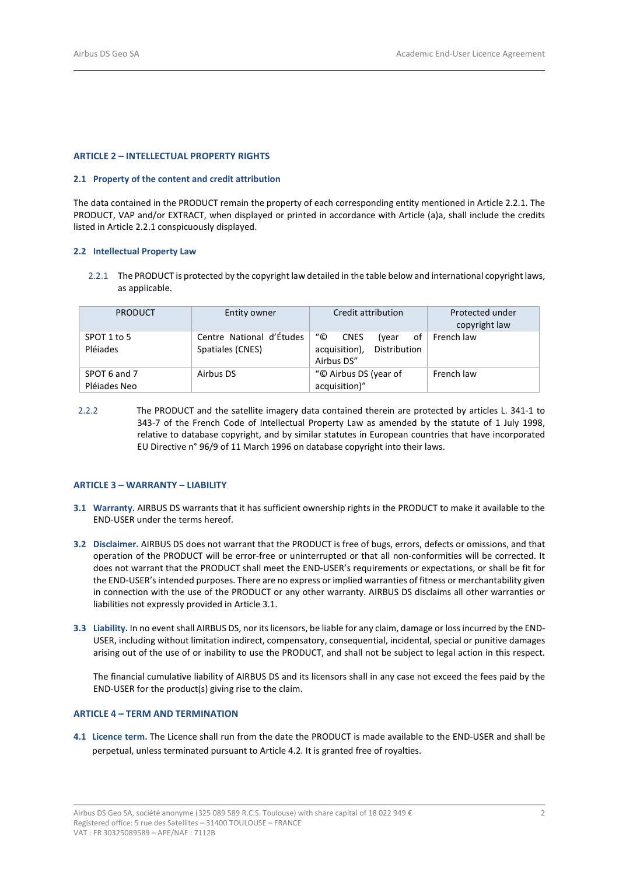## ARTICLE 2 – INTELLECTUAL PROPERTY RIGHTS

### 2.1 Property of the content and credit attribution

The data contained in the PRODUCT remain the property of each corresponding entity mentioned in Article 2.2.1. The PRODUCT, VAP and/or EXTRACT, when displayed or printed in accordance with Article (a)a, shall include the credits listed in Article 2.2.1 conspicuously displayed.

## 2.2 Intellectual Property Law

2.2.1 The PRODUCT is protected by the copyright law detailed in the table below and international copyright laws, as applicable.

| <b>PRODUCT</b>               | Entity owner                                 | Credit attribution                                                              | Protected under<br>copyright law |
|------------------------------|----------------------------------------------|---------------------------------------------------------------------------------|----------------------------------|
| SPOT 1 to 5<br>Pléiades      | Centre National d'Études<br>Spatiales (CNES) | "©<br>of<br><b>CNES</b><br>(vear<br>acquisition),<br>Distribution<br>Airbus DS" | French law                       |
| SPOT 6 and 7<br>Pléiades Neo | Airbus DS                                    | "© Airbus DS (year of<br>acquisition)"                                          | French law                       |

 2.2.2 The PRODUCT and the satellite imagery data contained therein are protected by articles L. 341-1 to 343-7 of the French Code of Intellectual Property Law as amended by the statute of 1 July 1998, relative to database copyright, and by similar statutes in European countries that have incorporated EU Directive n° 96/9 of 11 March 1996 on database copyright into their laws.

# ARTICLE 3 – WARRANTY – LIABILITY

- 3.1 Warranty. AIRBUS DS warrants that it has sufficient ownership rights in the PRODUCT to make it available to the END-USER under the terms hereof.
- 3.2 Disclaimer. AIRBUS DS does not warrant that the PRODUCT is free of bugs, errors, defects or omissions, and that operation of the PRODUCT will be error-free or uninterrupted or that all non-conformities will be corrected. It does not warrant that the PRODUCT shall meet the END-USER's requirements or expectations, or shall be fit for the END-USER's intended purposes. There are no express or implied warranties of fitness or merchantability given in connection with the use of the PRODUCT or any other warranty. AIRBUS DS disclaims all other warranties or liabilities not expressly provided in Article 3.1.
- 3.3 Liability. In no event shall AIRBUS DS, nor its licensors, be liable for any claim, damage or loss incurred by the END-USER, including without limitation indirect, compensatory, consequential, incidental, special or punitive damages arising out of the use of or inability to use the PRODUCT, and shall not be subject to legal action in this respect.

The financial cumulative liability of AIRBUS DS and its licensors shall in any case not exceed the fees paid by the END-USER for the product(s) giving rise to the claim.

## ARTICLE 4 – TERM AND TERMINATION

4.1 Licence term. The Licence shall run from the date the PRODUCT is made available to the END-USER and shall be perpetual, unless terminated pursuant to Article 4.2. It is granted free of royalties.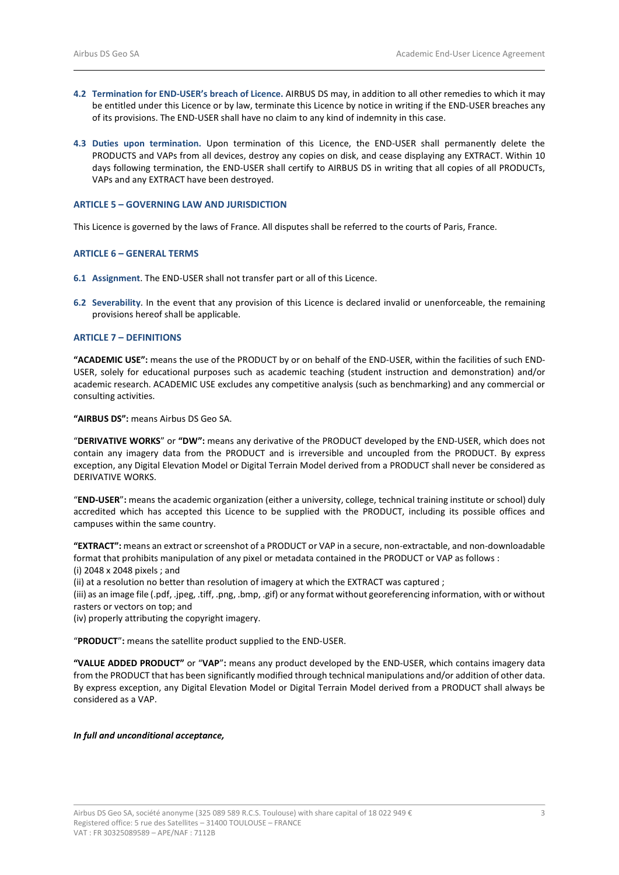- 4.2 Termination for END-USER's breach of Licence. AIRBUS DS may, in addition to all other remedies to which it may be entitled under this Licence or by law, terminate this Licence by notice in writing if the END-USER breaches any of its provisions. The END-USER shall have no claim to any kind of indemnity in this case.
- 4.3 Duties upon termination. Upon termination of this Licence, the END-USER shall permanently delete the PRODUCTS and VAPs from all devices, destroy any copies on disk, and cease displaying any EXTRACT. Within 10 days following termination, the END-USER shall certify to AIRBUS DS in writing that all copies of all PRODUCTs, VAPs and any EXTRACT have been destroyed.

### ARTICLE 5 – GOVERNING LAW AND JURISDICTION

This Licence is governed by the laws of France. All disputes shall be referred to the courts of Paris, France.

#### ARTICLE 6 – GENERAL TERMS

- 6.1 Assignment. The END-USER shall not transfer part or all of this Licence.
- 6.2 Severability. In the event that any provision of this Licence is declared invalid or unenforceable, the remaining provisions hereof shall be applicable.

## ARTICLE 7 – DEFINITIONS

"ACADEMIC USE": means the use of the PRODUCT by or on behalf of the END-USER, within the facilities of such END-USER, solely for educational purposes such as academic teaching (student instruction and demonstration) and/or academic research. ACADEMIC USE excludes any competitive analysis (such as benchmarking) and any commercial or consulting activities.

"AIRBUS DS": means Airbus DS Geo SA.

"DERIVATIVE WORKS" or "DW": means any derivative of the PRODUCT developed by the END-USER, which does not contain any imagery data from the PRODUCT and is irreversible and uncoupled from the PRODUCT. By express exception, any Digital Elevation Model or Digital Terrain Model derived from a PRODUCT shall never be considered as DERIVATIVE WORKS.

"END-USER": means the academic organization (either a university, college, technical training institute or school) duly accredited which has accepted this Licence to be supplied with the PRODUCT, including its possible offices and campuses within the same country.

"EXTRACT": means an extract or screenshot of a PRODUCT or VAP in a secure, non-extractable, and non-downloadable format that prohibits manipulation of any pixel or metadata contained in the PRODUCT or VAP as follows :

(i) 2048 x 2048 pixels ; and

(ii) at a resolution no better than resolution of imagery at which the EXTRACT was captured ;

(iii) as an image file (.pdf, .jpeg, .tiff, .png, .bmp, .gif) or any format without georeferencing information, with or without rasters or vectors on top; and

(iv) properly attributing the copyright imagery.

"PRODUCT": means the satellite product supplied to the END-USER.

"VALUE ADDED PRODUCT" or "VAP": means any product developed by the END-USER, which contains imagery data from the PRODUCT that has been significantly modified through technical manipulations and/or addition of other data. By express exception, any Digital Elevation Model or Digital Terrain Model derived from a PRODUCT shall always be considered as a VAP.

# In full and unconditional acceptance,